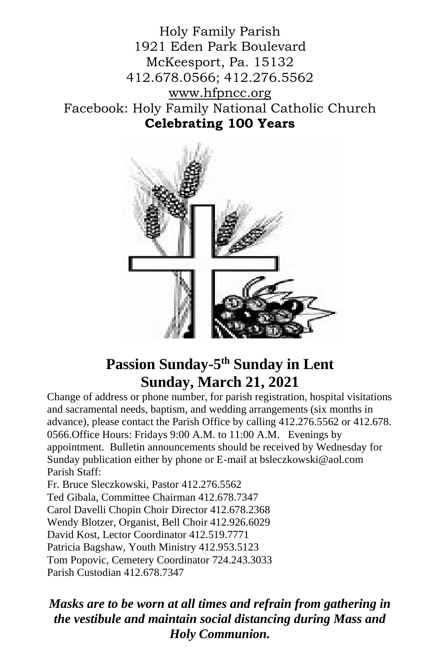Holy Family Parish 1921 Eden Park Boulevard McKeesport, Pa. 15132 412.678.0566; 412.276.5562 [www.hfpncc.org](http://www.hfpncc.org/) Facebook: Holy Family National Catholic Church **Celebrating 100 Years**



# **Passion Sunday-5 th Sunday in Lent Sunday, March 21, 2021**

Change of address or phone number, for parish registration, hospital visitations and sacramental needs, baptism, and wedding arrangements (six months in advance), please contact the Parish Office by calling 412.276.5562 or 412.678. 0566.Office Hours: Fridays 9:00 A.M. to 11:00 A.M. Evenings by appointment. Bulletin announcements should be received by Wednesday for Sunday publication either by phone or E-mail at bsleczkowski@aol.com Parish Staff:

Fr. Bruce Sleczkowski, Pastor 412.276.5562 Ted Gibala, Committee Chairman 412.678.7347 Carol Davelli Chopin Choir Director 412.678.2368 Wendy Blotzer, Organist, Bell Choir 412.926.6029 David Kost, Lector Coordinator 412.519.7771 Patricia Bagshaw, Youth Ministry 412.953.5123 Tom Popovic, Cemetery Coordinator 724.243.3033 Parish Custodian 412.678.7347

*Masks are to be worn at all times and refrain from gathering in the vestibule and maintain social distancing during Mass and Holy Communion.*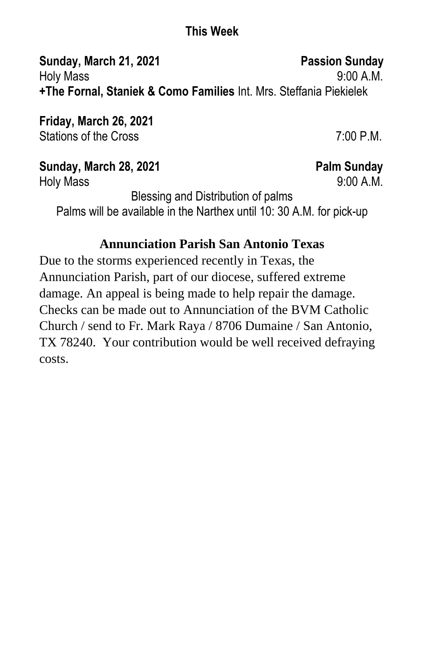### **This Week**

**Sunday, March 21, 2021** Passion Sunday Holy Mass 9:00 A.M. **+The Fornal, Staniek & Como Families** Int. Mrs. Steffania Piekielek

**Friday, March 26, 2021** Stations of the Cross 6. The Cross 7:00 P.M.

**Sunday, March 28, 2021** Palm Sunday Holy Mass 9:00 A.M.

Blessing and Distribution of palms Palms will be available in the Narthex until 10: 30 A.M. for pick-up

## **Annunciation Parish San Antonio Texas**

Due to the storms experienced recently in Texas, the Annunciation Parish, part of our diocese, suffered extreme damage. An appeal is being made to help repair the damage. Checks can be made out to Annunciation of the BVM Catholic Church / send to Fr. Mark Raya / 8706 Dumaine / San Antonio, TX 78240. Your contribution would be well received defraying costs.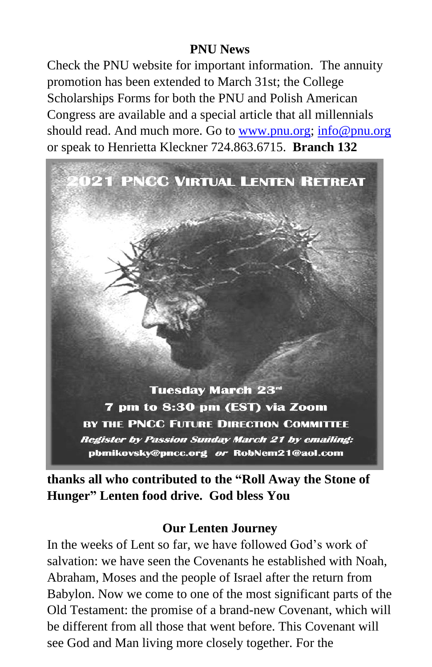#### **PNU News**

Check the PNU website for important information. The annuity promotion has been extended to March 31st; the College Scholarships Forms for both the PNU and Polish American Congress are available and a special article that all millennials should read. And much more. Go to [www.pnu.org;](http://www.pnu.org/) [info@pnu.org](mailto:info@pnu.org) or speak to Henrietta Kleckner 724.863.6715. **Branch 132** 



**thanks all who contributed to the "Roll Away the Stone of Hunger" Lenten food drive. God bless You** 

#### **Our Lenten Journey**

In the weeks of Lent so far, we have followed God's work of salvation: we have seen the Covenants he established with Noah, Abraham, Moses and the people of Israel after the return from Babylon. Now we come to one of the most significant parts of the Old Testament: the promise of a brand-new Covenant, which will be different from all those that went before. This Covenant will see God and Man living more closely together. For the